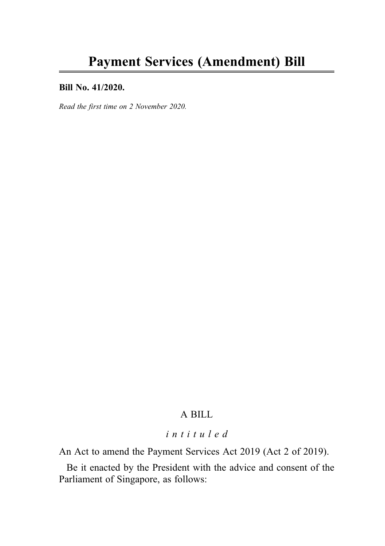#### Bill No. 41/2020.

Read the first time on 2 November 2020.

## A BILL

## intituled

An Act to amend the Payment Services Act 2019 (Act 2 of 2019).

Be it enacted by the President with the advice and consent of the Parliament of Singapore, as follows: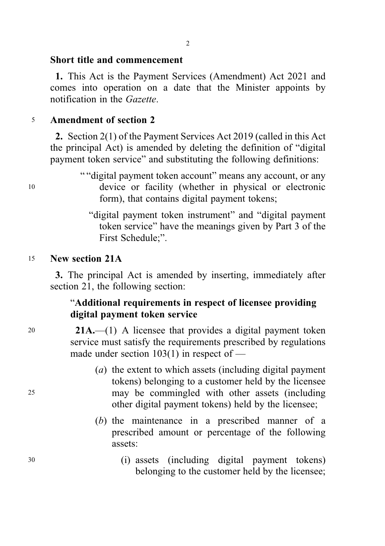### Short title and commencement

1. This Act is the Payment Services (Amendment) Act 2021 and comes into operation on a date that the Minister appoints by notification in the Gazette.

## <sup>5</sup> Amendment of section 2

2. Section 2(1) of the Payment Services Act 2019 (called in this Act the principal Act) is amended by deleting the definition of "digital payment token service" and substituting the following definitions:

- " "digital payment token account" means any account, or any <sup>10</sup> device or facility (whether in physical or electronic form), that contains digital payment tokens;
	- "digital payment token instrument" and "digital payment token service" have the meanings given by Part 3 of the First Schedule;".

# <sup>15</sup> New section 21A

3. The principal Act is amended by inserting, immediately after section 21, the following section:

# "Additional requirements in respect of licensee providing digital payment token service

20 **21A.**—(1) A licensee that provides a digital payment token service must satisfy the requirements prescribed by regulations made under section 103(1) in respect of —

- (a) the extent to which assets (including digital payment tokens) belonging to a customer held by the licensee <sup>25</sup> may be commingled with other assets (including other digital payment tokens) held by the licensee;
	- (b) the maintenance in a prescribed manner of a prescribed amount or percentage of the following assets:
- <sup>30</sup> (i) assets (including digital payment tokens) belonging to the customer held by the licensee;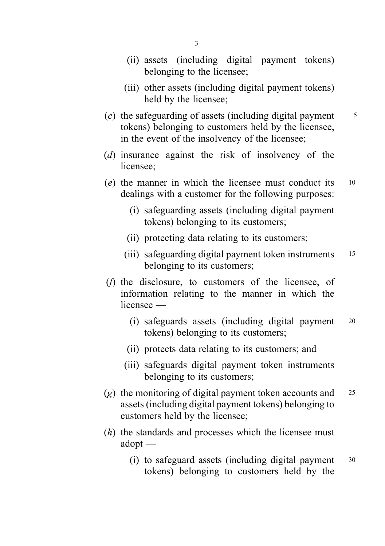- (ii) assets (including digital payment tokens) belonging to the licensee;
- (iii) other assets (including digital payment tokens) held by the licensee;
- (c) the safeguarding of assets (including digital payment  $\frac{5}{5}$ tokens) belonging to customers held by the licensee, in the event of the insolvency of the licensee;
- (d) insurance against the risk of insolvency of the licensee;
- (e) the manner in which the licensee must conduct its <sup>10</sup> dealings with a customer for the following purposes:
	- (i) safeguarding assets (including digital payment tokens) belonging to its customers;
	- (ii) protecting data relating to its customers;
	- (iii) safeguarding digital payment token instruments 15 belonging to its customers;
- (f) the disclosure, to customers of the licensee, of information relating to the manner in which the licensee —
	- (i) safeguards assets (including digital payment <sup>20</sup> tokens) belonging to its customers;
	- (ii) protects data relating to its customers; and
	- (iii) safeguards digital payment token instruments belonging to its customers;
- (g) the monitoring of digital payment token accounts and  $25$ assets (including digital payment tokens) belonging to customers held by the licensee;
- (h) the standards and processes which the licensee must adopt —
	- (i) to safeguard assets (including digital payment <sup>30</sup> tokens) belonging to customers held by the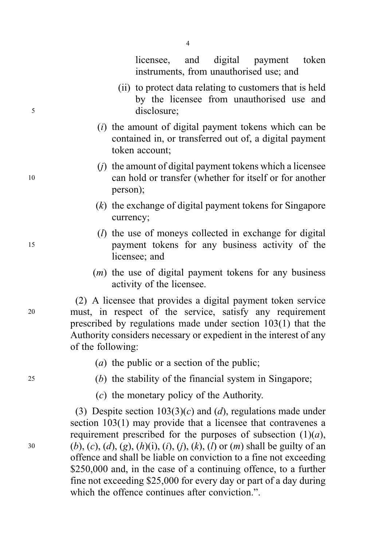licensee, and digital payment token instruments, from unauthorised use; and

- (ii) to protect data relating to customers that is held by the licensee from unauthorised use and <sup>5</sup> disclosure;
	- $(i)$  the amount of digital payment tokens which can be contained in, or transferred out of, a digital payment token account;
- $(i)$  the amount of digital payment tokens which a licensee <sup>10</sup> can hold or transfer (whether for itself or for another person);
	- (k) the exchange of digital payment tokens for Singapore currency;
- $(l)$  the use of moneys collected in exchange for digital <sup>15</sup> payment tokens for any business activity of the licensee; and
	- $(m)$  the use of digital payment tokens for any business activity of the licensee.

(2) A licensee that provides a digital payment token service <sup>20</sup> must, in respect of the service, satisfy any requirement prescribed by regulations made under section 103(1) that the Authority considers necessary or expedient in the interest of any of the following:

- (*a*) the public or a section of the public;
- <sup>25</sup> (b) the stability of the financial system in Singapore;
	- (c) the monetary policy of the Authority.

(3) Despite section  $103(3)(c)$  and  $(d)$ , regulations made under section 103(1) may provide that a licensee that contravenes a requirement prescribed for the purposes of subsection  $(1)(a)$ , 30 (b), (c), (d), (g), (h)(i), (i), (i), (k), (l) or (m) shall be guilty of an offence and shall be liable on conviction to a fine not exceeding \$250,000 and, in the case of a continuing offence, to a further fine not exceeding \$25,000 for every day or part of a day during which the offence continues after conviction."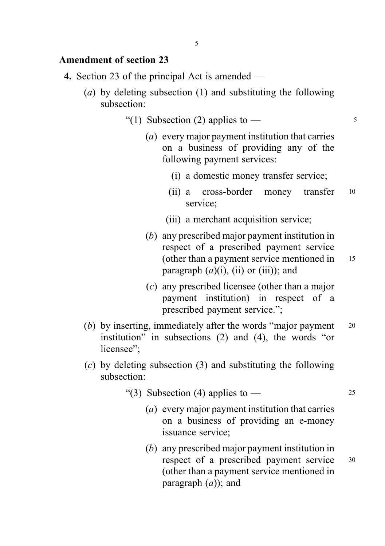### Amendment of section 23

- 4. Section 23 of the principal Act is amended
	- (a) by deleting subsection (1) and substituting the following subsection:
		- "(1) Subsection (2) applies to  $-$  5
			- (a) every major payment institution that carries on a business of providing any of the following payment services:
				- (i) a domestic money transfer service;
				- (ii) a cross-border money transfer <sup>10</sup> service;
				- (iii) a merchant acquisition service;
			- (b) any prescribed major payment institution in respect of a prescribed payment service (other than a payment service mentioned in <sup>15</sup> paragraph  $(a)(i)$ ,  $(ii)$  or  $(iii)$ ); and
			- (c) any prescribed licensee (other than a major payment institution) in respect of a prescribed payment service.";
	- (b) by inserting, immediately after the words "major payment  $20$ institution" in subsections (2) and (4), the words "or licensee":
	- (c) by deleting subsection (3) and substituting the following subsection:
		- "(3) Subsection (4) applies to  $-$  25
			- (a) every major payment institution that carries on a business of providing an e-money issuance service;
			- (b) any prescribed major payment institution in respect of a prescribed payment service <sup>30</sup> (other than a payment service mentioned in paragraph  $(a)$ ); and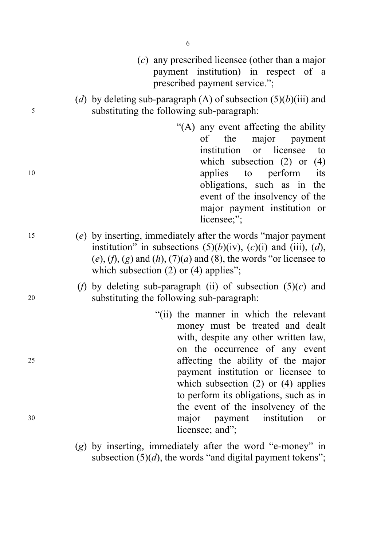|    | $(c)$ any prescribed licensee (other than a major<br>payment institution) in respect of a<br>prescribed payment service.";                                                                                                                                                 |
|----|----------------------------------------------------------------------------------------------------------------------------------------------------------------------------------------------------------------------------------------------------------------------------|
| 5  | (d) by deleting sub-paragraph (A) of subsection $(5)(b)(iii)$ and<br>substituting the following sub-paragraph:                                                                                                                                                             |
| 10 | "(A) any event affecting the ability<br>the<br>major<br>payment<br>of<br>institution<br>licensee<br><b>or</b><br>to<br>which subsection $(2)$ or<br>(4)<br>perform<br>applies<br>its<br>to                                                                                 |
|    | obligations, such as in<br>the<br>event of the insolvency of the<br>major payment institution or<br>licensee;";                                                                                                                                                            |
| 15 | (e) by inserting, immediately after the words "major payment<br>institution" in subsections $(5)(b)(iv)$ , $(c)(i)$ and $(iii)$ , $(d)$ ,<br>$(e)$ , $(f)$ , $(g)$ and $(h)$ , $(7)(a)$ and $(8)$ , the words "or licensee to<br>which subsection $(2)$ or $(4)$ applies"; |
| 20 | (f) by deleting sub-paragraph (ii) of subsection $(5)(c)$ and<br>substituting the following sub-paragraph:                                                                                                                                                                 |
|    | "(ii) the manner in which the relevant<br>money must be treated and dealt<br>with, despite any other written law,<br>on the occurrence of any event                                                                                                                        |
| 25 | affecting the ability of the major<br>payment institution or licensee to<br>which subsection $(2)$ or $(4)$ applies<br>to perform its obligations, such as in<br>the event of the insolvency of the                                                                        |
| 30 | major<br>institution<br>payment<br>or<br>licensee; and";                                                                                                                                                                                                                   |
|    | (a) by inserting immediately after the word "e-money" in                                                                                                                                                                                                                   |

(g) by inserting, immediately after the word "e-money" in subsection  $(5)(d)$ , the words "and digital payment tokens";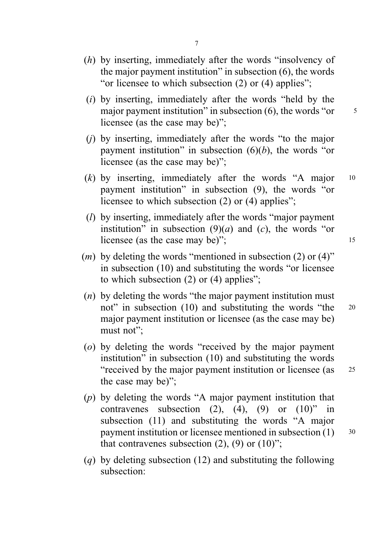- (h) by inserting, immediately after the words "insolvency of the major payment institution" in subsection (6), the words "or licensee to which subsection (2) or (4) applies";
- $(i)$  by inserting, immediately after the words "held by the major payment institution" in subsection  $(6)$ , the words "or  $\frac{5}{5}$ licensee (as the case may be)";
- (j) by inserting, immediately after the words "to the major payment institution" in subsection  $(6)(b)$ , the words "or licensee (as the case may be)";
- (k) by inserting, immediately after the words "A major <sup>10</sup> payment institution" in subsection (9), the words "or licensee to which subsection (2) or (4) applies";
- (l) by inserting, immediately after the words "major payment institution" in subsection  $(9)(a)$  and  $(c)$ , the words "or licensee (as the case may be)"; 15
- $(m)$  by deleting the words "mentioned in subsection (2) or (4)" in subsection (10) and substituting the words "or licensee to which subsection (2) or (4) applies";
- $(n)$  by deleting the words "the major payment institution must not" in subsection (10) and substituting the words "the 20 major payment institution or licensee (as the case may be) must not":
- (o) by deleting the words "received by the major payment institution" in subsection (10) and substituting the words "received by the major payment institution or licensee (as <sup>25</sup> the case may be)";
- (p) by deleting the words "A major payment institution that contravenes subsection  $(2)$ ,  $(4)$ ,  $(9)$  or  $(10)$ " in subsection (11) and substituting the words "A major payment institution or licensee mentioned in subsection (1) 30 that contravenes subsection  $(2)$ ,  $(9)$  or  $(10)$ ";
- (q) by deleting subsection (12) and substituting the following subsection: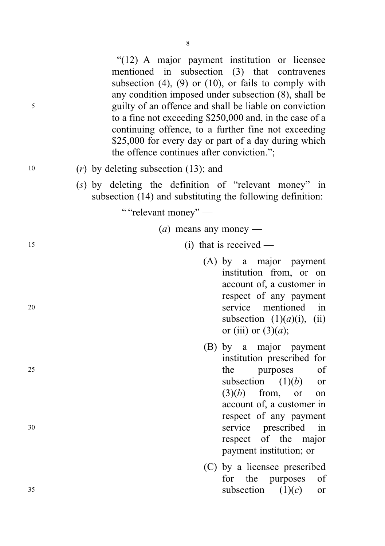"(12) A major payment institution or licensee mentioned in subsection (3) that contravenes subsection  $(4)$ ,  $(9)$  or  $(10)$ , or fails to comply with any condition imposed under subsection (8), shall be <sup>5</sup> guilty of an offence and shall be liable on conviction to a fine not exceeding \$250,000 and, in the case of a continuing offence, to a further fine not exceeding \$25,000 for every day or part of a day during which the offence continues after conviction.";

- $10$  (r) by deleting subsection (13); and
	- (s) by deleting the definition of "relevant money" in subsection (14) and substituting the following definition:

" "relevant money" —

- $(a)$  means any money —
- 15 (i) that is received —
- (A) by a major payment institution from, or on account of, a customer in respect of any payment <sup>20</sup> service mentioned in subsection  $(1)(a)(i)$ ,  $(ii)$ or (iii) or  $(3)(a)$ ;
- (B) by a major payment institution prescribed for 25 the purposes of subsection  $(1)(b)$  or  $(3)(b)$  from, or on account of, a customer in respect of any payment <sup>30</sup> service prescribed in respect of the major payment institution; or
- (C) by a licensee prescribed for the purposes of  $35$  subsection  $(1)(c)$  or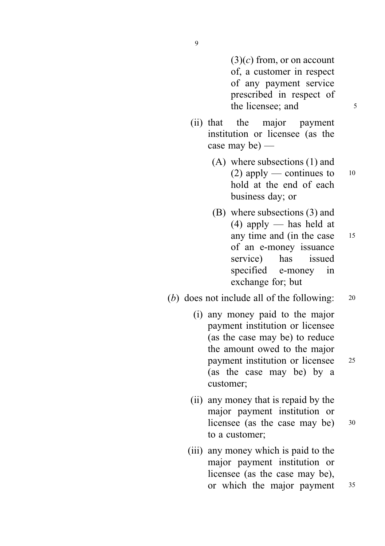$(3)(c)$  from, or on account of, a customer in respect of any payment service prescribed in respect of the licensee: and 5

- (ii) that the major payment institution or licensee (as the case may be) —
	- (A) where subsections (1) and (2) apply — continues to  $10$ hold at the end of each business day; or
	- (B) where subsections (3) and (4) apply — has held at any time and (in the case 15 of an e-money issuance service) has issued specified e-money in exchange for; but

## (b) does not include all of the following: 20

- (i) any money paid to the major payment institution or licensee (as the case may be) to reduce the amount owed to the major payment institution or licensee <sup>25</sup> (as the case may be) by a customer;
- (ii) any money that is repaid by the major payment institution or licensee (as the case may be) 30 to a customer;
- (iii) any money which is paid to the major payment institution or licensee (as the case may be), or which the major payment 35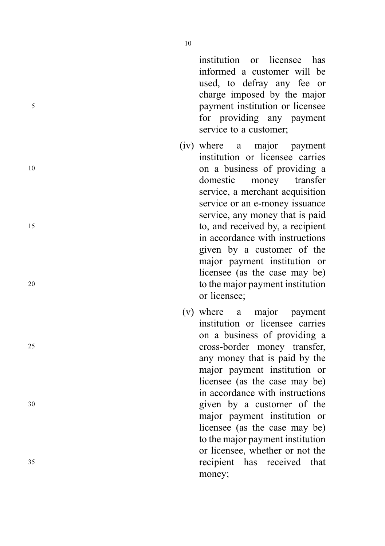institution or licensee has informed a customer will be used, to defray any fee or charge imposed by the major <sup>5</sup> payment institution or licensee for providing any payment service to a customer;

- (iv) where a major payment institution or licensee carries <sup>10</sup> on a business of providing a domestic money transfer service, a merchant acquisition service or an e-money issuance service, any money that is paid <sup>15</sup> to, and received by, a recipient in accordance with instructions given by a customer of the major payment institution or licensee (as the case may be) <sup>20</sup> to the major payment institution or licensee;
- (v) where a major payment institution or licensee carries on a business of providing a <sup>25</sup> cross-border money transfer, any money that is paid by the major payment institution or licensee (as the case may be) in accordance with instructions <sup>30</sup> given by a customer of the major payment institution or licensee (as the case may be) to the major payment institution or licensee, whether or not the <sup>35</sup> recipient has received that money;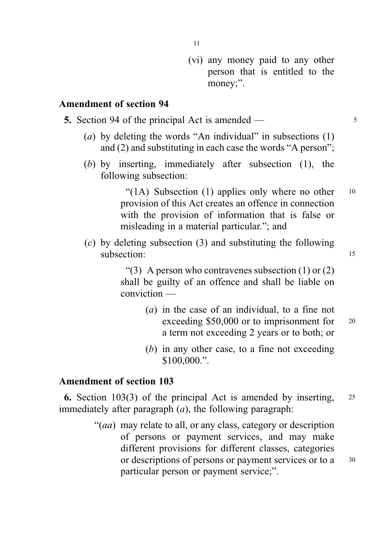(vi) any money paid to any other person that is entitled to the money;".

# Amendment of section 94

- 5. Section 94 of the principal Act is amended <sup>5</sup>
	- (a) by deleting the words "An individual" in subsections  $(1)$ and (2) and substituting in each case the words "A person";
	- (b) by inserting, immediately after subsection (1), the following subsection:

"(1A) Subsection (1) applies only where no other  $10$ provision of this Act creates an offence in connection with the provision of information that is false or misleading in a material particular."; and

(c) by deleting subsection (3) and substituting the following subsection: 15

> "(3) A person who contravenes subsection  $(1)$  or  $(2)$ shall be guilty of an offence and shall be liable on conviction —

- (a) in the case of an individual, to a fine not exceeding \$50,000 or to imprisonment for 20 a term not exceeding 2 years or to both; or
- (b) in any other case, to a fine not exceeding \$100,000.".

## Amendment of section 103

6. Section 103(3) of the principal Act is amended by inserting, <sup>25</sup> immediately after paragraph  $(a)$ , the following paragraph:

> "(*aa*) may relate to all, or any class, category or description of persons or payment services, and may make different provisions for different classes, categories or descriptions of persons or payment services or to a 30 particular person or payment service;".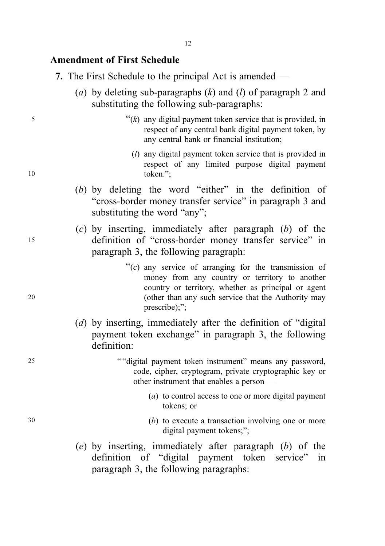## Amendment of First Schedule

- 7. The First Schedule to the principal Act is amended
	- (a) by deleting sub-paragraphs  $(k)$  and  $(l)$  of paragraph 2 and substituting the following sub-paragraphs:
- $\mathfrak{f}$   $\mathfrak{f}(k)$  any digital payment token service that is provided, in respect of any central bank digital payment token, by any central bank or financial institution;
- (l) any digital payment token service that is provided in respect of any limited purpose digital payment 10 token.";
	- (b) by deleting the word "either" in the definition of "cross-border money transfer service" in paragraph 3 and substituting the word "any";
- $(c)$  by inserting, immediately after paragraph  $(b)$  of the <sup>15</sup> definition of "cross-border money transfer service" in paragraph 3, the following paragraph:
- $\mathcal{C}(c)$  any service of arranging for the transmission of money from any country or territory to another country or territory, whether as principal or agent 20 (other than any such service that the Authority may prescribe);":
	- (d) by inserting, immediately after the definition of "digital payment token exchange" in paragraph 3, the following definition:
- 25 " "digital payment token instrument" means any password, code, cipher, cryptogram, private cryptographic key or other instrument that enables a person —
	- (a) to control access to one or more digital payment tokens; or
- 30 (b) to execute a transaction involving one or more digital payment tokens;";
	- (e) by inserting, immediately after paragraph (b) of the definition of "digital payment token service" in paragraph 3, the following paragraphs: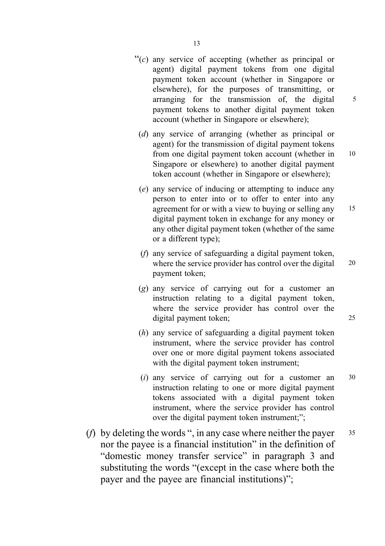- $\mathcal{C}(c)$  any service of accepting (whether as principal or agent) digital payment tokens from one digital payment token account (whether in Singapore or elsewhere), for the purposes of transmitting, or arranging for the transmission of, the digital  $\frac{5}{10}$ payment tokens to another digital payment token account (whether in Singapore or elsewhere);
	- (d) any service of arranging (whether as principal or agent) for the transmission of digital payment tokens from one digital payment token account (whether in 10 Singapore or elsewhere) to another digital payment token account (whether in Singapore or elsewhere);
	- (e) any service of inducing or attempting to induce any person to enter into or to offer to enter into any agreement for or with a view to buying or selling any 15 digital payment token in exchange for any money or any other digital payment token (whether of the same or a different type);
	- (f) any service of safeguarding a digital payment token, where the service provider has control over the digital 20 payment token;
	- (g) any service of carrying out for a customer an instruction relating to a digital payment token, where the service provider has control over the digital payment token; 25
	- (h) any service of safeguarding a digital payment token instrument, where the service provider has control over one or more digital payment tokens associated with the digital payment token instrument;
	- $(i)$  any service of carrying out for a customer an  $30$ instruction relating to one or more digital payment tokens associated with a digital payment token instrument, where the service provider has control over the digital payment token instrument;";
- (*f*) by deleting the words ", in any case where neither the payer  $35$ nor the payee is a financial institution" in the definition of "domestic money transfer service" in paragraph 3 and substituting the words "(except in the case where both the payer and the payee are financial institutions)";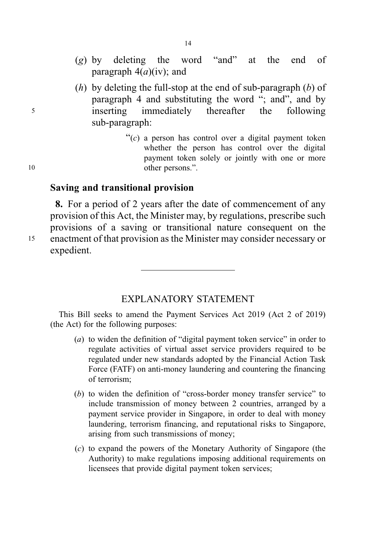- (g) by deleting the word "and" at the end of paragraph  $4(a)(iv)$ ; and
- (h) by deleting the full-stop at the end of sub-paragraph  $(b)$  of paragraph 4 and substituting the word "; and", and by <sup>5</sup> inserting immediately thereafter the following sub-paragraph:
- " $(c)$  a person has control over a digital payment token whether the person has control over the digital payment token solely or jointly with one or more 10 other persons.".

#### Saving and transitional provision

8. For a period of 2 years after the date of commencement of any provision of this Act, the Minister may, by regulations, prescribe such provisions of a saving or transitional nature consequent on the <sup>15</sup> enactment of that provision as the Minister may consider necessary or expedient.

#### EXPLANATORY STATEMENT

This Bill seeks to amend the Payment Services Act 2019 (Act 2 of 2019) (the Act) for the following purposes:

- (a) to widen the definition of "digital payment token service" in order to regulate activities of virtual asset service providers required to be regulated under new standards adopted by the Financial Action Task Force (FATF) on anti-money laundering and countering the financing of terrorism;
- (b) to widen the definition of "cross-border money transfer service" to include transmission of money between 2 countries, arranged by a payment service provider in Singapore, in order to deal with money laundering, terrorism financing, and reputational risks to Singapore, arising from such transmissions of money;
- (c) to expand the powers of the Monetary Authority of Singapore (the Authority) to make regulations imposing additional requirements on licensees that provide digital payment token services;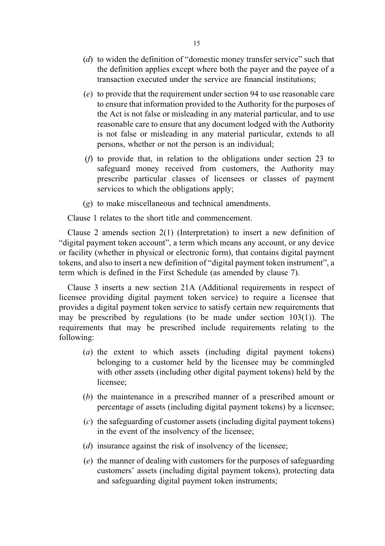- (d) to widen the definition of "domestic money transfer service" such that the definition applies except where both the payer and the payee of a transaction executed under the service are financial institutions;
- (e) to provide that the requirement under section 94 to use reasonable care to ensure that information provided to the Authority for the purposes of the Act is not false or misleading in any material particular, and to use reasonable care to ensure that any document lodged with the Authority is not false or misleading in any material particular, extends to all persons, whether or not the person is an individual;
- (f) to provide that, in relation to the obligations under section 23 to safeguard money received from customers, the Authority may prescribe particular classes of licensees or classes of payment services to which the obligations apply;
- (g) to make miscellaneous and technical amendments.

Clause 1 relates to the short title and commencement.

Clause 2 amends section 2(1) (Interpretation) to insert a new definition of "digital payment token account", a term which means any account, or any device or facility (whether in physical or electronic form), that contains digital payment tokens, and also to insert a new definition of "digital payment token instrument", a term which is defined in the First Schedule (as amended by clause 7).

Clause 3 inserts a new section 21A (Additional requirements in respect of licensee providing digital payment token service) to require a licensee that provides a digital payment token service to satisfy certain new requirements that may be prescribed by regulations (to be made under section 103(1)). The requirements that may be prescribed include requirements relating to the following:

- (a) the extent to which assets (including digital payment tokens) belonging to a customer held by the licensee may be commingled with other assets (including other digital payment tokens) held by the licensee;
- (b) the maintenance in a prescribed manner of a prescribed amount or percentage of assets (including digital payment tokens) by a licensee;
- (c) the safeguarding of customer assets (including digital payment tokens) in the event of the insolvency of the licensee;
- (*d*) insurance against the risk of insolvency of the licensee;
- (e) the manner of dealing with customers for the purposes of safeguarding customers' assets (including digital payment tokens), protecting data and safeguarding digital payment token instruments;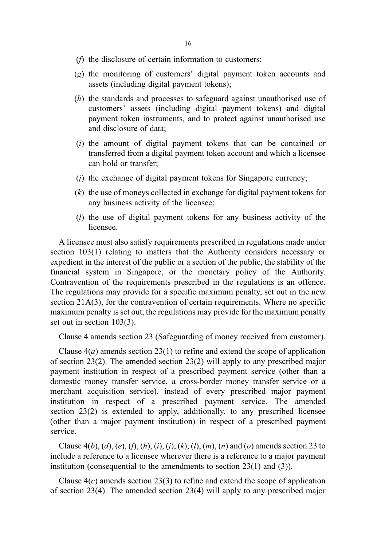- (f) the disclosure of certain information to customers;
- (g) the monitoring of customers' digital payment token accounts and assets (including digital payment tokens);
- (h) the standards and processes to safeguard against unauthorised use of customers' assets (including digital payment tokens) and digital payment token instruments, and to protect against unauthorised use and disclosure of data;
- (i) the amount of digital payment tokens that can be contained or transferred from a digital payment token account and which a licensee can hold or transfer;
- (j) the exchange of digital payment tokens for Singapore currency;
- (k) the use of moneys collected in exchange for digital payment tokens for any business activity of the licensee;
- (l) the use of digital payment tokens for any business activity of the licensee.

A licensee must also satisfy requirements prescribed in regulations made under section 103(1) relating to matters that the Authority considers necessary or expedient in the interest of the public or a section of the public, the stability of the financial system in Singapore, or the monetary policy of the Authority. Contravention of the requirements prescribed in the regulations is an offence. The regulations may provide for a specific maximum penalty, set out in the new section 21A(3), for the contravention of certain requirements. Where no specific maximum penalty is set out, the regulations may provide for the maximum penalty set out in section 103(3).

Clause 4 amends section 23 (Safeguarding of money received from customer).

Clause  $4(a)$  amends section 23(1) to refine and extend the scope of application of section 23(2). The amended section 23(2) will apply to any prescribed major payment institution in respect of a prescribed payment service (other than a domestic money transfer service, a cross-border money transfer service or a merchant acquisition service), instead of every prescribed major payment institution in respect of a prescribed payment service. The amended section 23(2) is extended to apply, additionally, to any prescribed licensee (other than a major payment institution) in respect of a prescribed payment service.

Clause  $4(b)$ ,  $(d)$ ,  $(e)$ ,  $(f)$ ,  $(h)$ ,  $(i)$ ,  $(i)$ ,  $(k)$ ,  $(h)$ ,  $(m)$ ,  $(n)$  and  $(o)$  amends section 23 to include a reference to a licensee wherever there is a reference to a major payment institution (consequential to the amendments to section 23(1) and (3)).

Clause  $4(c)$  amends section 23(3) to refine and extend the scope of application of section 23(4). The amended section 23(4) will apply to any prescribed major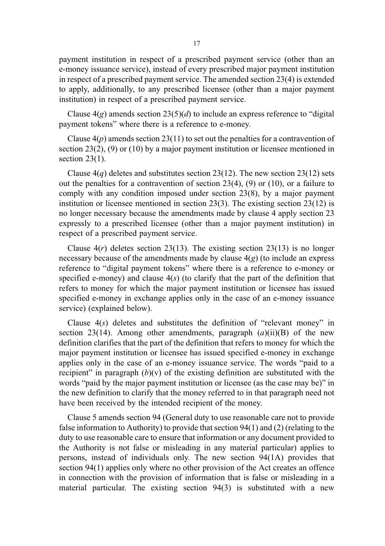payment institution in respect of a prescribed payment service (other than an e-money issuance service), instead of every prescribed major payment institution in respect of a prescribed payment service. The amended section 23(4) is extended to apply, additionally, to any prescribed licensee (other than a major payment institution) in respect of a prescribed payment service.

Clause  $4(g)$  amends section  $23(5)(d)$  to include an express reference to "digital" payment tokens" where there is a reference to e-money.

Clause  $4(p)$  amends section 23(11) to set out the penalties for a contravention of section 23(2), (9) or (10) by a major payment institution or licensee mentioned in section  $23(1)$ .

Clause  $4(q)$  deletes and substitutes section 23(12). The new section 23(12) sets out the penalties for a contravention of section  $23(4)$ ,  $(9)$  or  $(10)$ , or a failure to comply with any condition imposed under section  $23(8)$ , by a major payment institution or licensee mentioned in section 23(3). The existing section 23(12) is no longer necessary because the amendments made by clause 4 apply section 23 expressly to a prescribed licensee (other than a major payment institution) in respect of a prescribed payment service.

Clause  $4(r)$  deletes section 23(13). The existing section 23(13) is no longer necessary because of the amendments made by clause  $4(g)$  (to include an express reference to "digital payment tokens" where there is a reference to e-money or specified e-money) and clause  $4(s)$  (to clarify that the part of the definition that refers to money for which the major payment institution or licensee has issued specified e-money in exchange applies only in the case of an e-money issuance service) (explained below).

Clause  $4(s)$  deletes and substitutes the definition of "relevant money" in section 23(14). Among other amendments, paragraph  $(a)(ii)(B)$  of the new definition clarifies that the part of the definition that refers to money for which the major payment institution or licensee has issued specified e-money in exchange applies only in the case of an e-money issuance service. The words "paid to a recipient" in paragraph  $(b)(v)$  of the existing definition are substituted with the words "paid by the major payment institution or licensee (as the case may be)" in the new definition to clarify that the money referred to in that paragraph need not have been received by the intended recipient of the money.

Clause 5 amends section 94 (General duty to use reasonable care not to provide false information to Authority) to provide that section 94(1) and (2) (relating to the duty to use reasonable care to ensure that information or any document provided to the Authority is not false or misleading in any material particular) applies to persons, instead of individuals only. The new section 94(1A) provides that section 94(1) applies only where no other provision of the Act creates an offence in connection with the provision of information that is false or misleading in a material particular. The existing section 94(3) is substituted with a new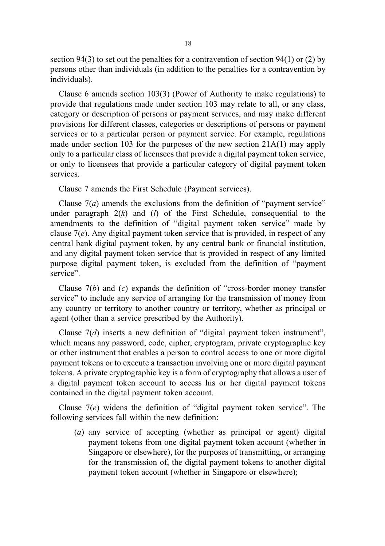section 94(3) to set out the penalties for a contravention of section 94(1) or (2) by persons other than individuals (in addition to the penalties for a contravention by individuals).

Clause 6 amends section 103(3) (Power of Authority to make regulations) to provide that regulations made under section 103 may relate to all, or any class, category or description of persons or payment services, and may make different provisions for different classes, categories or descriptions of persons or payment services or to a particular person or payment service. For example, regulations made under section 103 for the purposes of the new section 21A(1) may apply only to a particular class of licensees that provide a digital payment token service, or only to licensees that provide a particular category of digital payment token services.

Clause 7 amends the First Schedule (Payment services).

Clause  $7(a)$  amends the exclusions from the definition of "payment service" under paragraph  $2(k)$  and  $(l)$  of the First Schedule, consequential to the amendments to the definition of "digital payment token service" made by clause  $7(e)$ . Any digital payment token service that is provided, in respect of any central bank digital payment token, by any central bank or financial institution, and any digital payment token service that is provided in respect of any limited purpose digital payment token, is excluded from the definition of "payment service".

Clause  $7(b)$  and  $(c)$  expands the definition of "cross-border money transfer service" to include any service of arranging for the transmission of money from any country or territory to another country or territory, whether as principal or agent (other than a service prescribed by the Authority).

Clause  $7(d)$  inserts a new definition of "digital payment token instrument", which means any password, code, cipher, cryptogram, private cryptographic key or other instrument that enables a person to control access to one or more digital payment tokens or to execute a transaction involving one or more digital payment tokens. A private cryptographic key is a form of cryptography that allows a user of a digital payment token account to access his or her digital payment tokens contained in the digital payment token account.

Clause  $7(e)$  widens the definition of "digital payment token service". The following services fall within the new definition:

(a) any service of accepting (whether as principal or agent) digital payment tokens from one digital payment token account (whether in Singapore or elsewhere), for the purposes of transmitting, or arranging for the transmission of, the digital payment tokens to another digital payment token account (whether in Singapore or elsewhere);